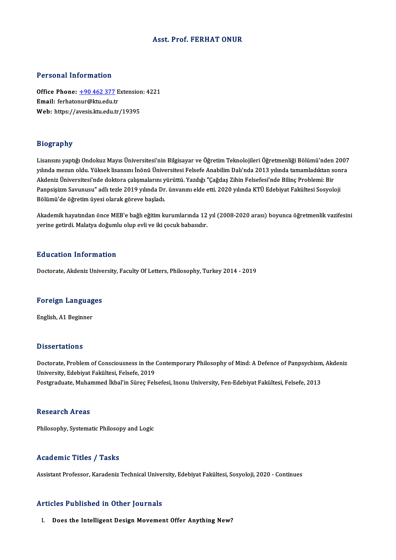## Asst. Prof. FERHATONUR

### Personal Information

Personal Information<br>Office Phone: <u>+90 462 377</u> Extension: 4221<br>Email: forbatonur@ktu.edu.tr 1 ST SOMAT THEST MARKET<br>Office Phone: <u>+90 462 377</u> E<br>Email: ferhato[nur@ktu.edu.t](tel:+90 462 377)r Office Phone: <u>+90 462 377</u> Extensior<br>Email: ferhatonur@ktu.edu.tr<br>Web: https://avesis.ktu.edu.tr/19395 Web: https://avesis.ktu.edu.tr/19395<br>Biography

Lisansını yaptığı Ondokuz Mayıs Üniversitesi'nin Bilgisayar ve Öğretim Teknolojileri Öğretmenliği Bölümü'nden 2007 yılışılıpı.<br>Lisansını yaptığı Ondokuz Mayıs Üniversitesi'nin Bilgisayar ve Öğretim Teknolojileri Öğretmenliği Bölümü'nden 2007<br>Akdoniz Üniversitesi'nde dektere salısmalarını yürüttü. Yazdığı "Ceğdes Zihin Felsefesi'nde Bil Lisansını yaptığı Ondokuz Mayıs Üniversitesi'nin Bilgisayar ve Öğretim Teknolojileri Öğretmenliği Bölümü'nden<br>yılında mezun oldu. Yüksek lisansını İnönü Üniversitesi Felsefe Anabilim Dalı'nda 2013 yılında tamamladıktan s<br>A yılında mezun oldu. Yüksek lisansını İnönü Üniversitesi Felsefe Anabilim Dalı'nda 2013 yılında tamamladıktan son<br>Akdeniz Üniversitesi'nde doktora çalışmalarını yürüttü. Yazdığı "Çağdaş Zihin Felsefesi'nde Bilinç Problemi: Akdeniz Üniversitesi'nde doktora çalışmalarını yürüttü. Yazdığı "Çağdaş Zihin Felsefesi'nde Bilinç Problemi: Bir<br>Panpsişizm Savunusu" adlı tezle 2019 yılında Dr. ünvanını elde etti. 2020 yılında KTÜ Edebiyat Fakültesi Sosy

ranpsişizin savandsa "adın deze 2019 yılında Bi", dirvanını cide etdi. 2020 yılında Kro Bacbiyat'ı akancsi sosyoloji<br>Bölümü'de öğretim üyesi olarak göreve başladı.<br>Yerine getirdi. Malatıya değumlu olun evli ve ili sosuk ba bolumu uc oğretin tiyesi olarak göreve başladı.<br>Akademik hayatından önce MEB'e bağlı eğitim kurumlarında 12<br>yerine getirdi. Malatya doğumlu olup evli ve iki çocuk babasıdır. yerine getirdi. Malatya doğumlu olup evli ve iki çocuk babasıdır.<br>Education Information

Doctorate, Akdeniz University, Faculty Of Letters, Philosophy, Turkey 2014 - 2019

# **Doctorate, Akdeniz Unive<br>Foreign Languages** <mark>Foreign Languag</mark><br>English, A1 Beginner

English, A1 Beginner<br>Dissertations

Dissertations<br>Doctorate, Problem of Consciousness in the Contemporary Philosophy of Mind: A Defence of Panpsychism, Akdeniz<br>University, Edebiyat Felsiltesi, Felsefe, 2019 Dissoli tations<br>Doctorate, Problem of Consciousness in the (<br>University, Edebiyat Fakültesi, Felsefe, 2019<br>Postsyaduate, Muhammad İlibal'in Sünas Fak Doctorate, Problem of Consciousness in the Contemporary Philosophy of Mind: A Defence of Panpsychism<br>University, Edebiyat Fakültesi, Felsefe, 2019<br>Postgraduate, Muhammed İkbal'in Süreç Felsefesi, Inonu University, Fen-Edeb Postgraduate, Muhammed İkbal'in Süreç Felsefesi, Inonu University, Fen-Edebiyat Fakültesi, Felsefe, 2013<br>Research Areas

Philosophy, Systematic Philosopy and Logic

# Academic Titles / Tasks

Assistant Professor, Karadeniz Technical University, Edebiyat Fakültesi, Sosyoloji, 2020 - Continues

### Articles Published in Other Journals

#### I. Does the Intelligent Design Movement Offer Anything New?